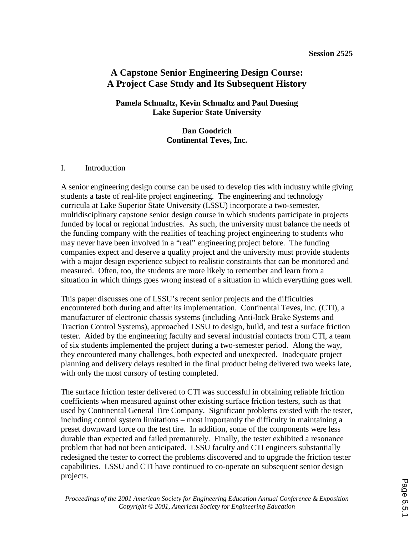#### **Session 2525**

# **A Capstone Senior Engineering Design Course: A Project Case Study and Its Subsequent History**

### **Pamela Schmaltz, Kevin Schmaltz and Paul Duesing Lake Superior State University**

**Dan Goodrich Continental Teves, Inc.** 

### I. Introduction

A senior engineering design course can be used to develop ties with industry while giving students a taste of real-life project engineering. The engineering and technology curricula at Lake Superior State University (LSSU) incorporate a two-semester, multidisciplinary capstone senior design course in which students participate in projects funded by local or regional industries. As such, the university must balance the needs of the funding company with the realities of teaching project engineering to students who may never have been involved in a "real" engineering project before. The funding companies expect and deserve a quality project and the university must provide students with a major design experience subject to realistic constraints that can be monitored and measured. Often, too, the students are more likely to remember and learn from a situation in which things goes wrong instead of a situation in which everything goes well.

This paper discusses one of LSSU's recent senior projects and the difficulties encountered both during and after its implementation. Continental Teves, Inc. (CTI), a manufacturer of electronic chassis systems (including Anti-lock Brake Systems and Traction Control Systems), approached LSSU to design, build, and test a surface friction tester. Aided by the engineering faculty and several industrial contacts from CTI, a team of six students implemented the project during a two-semester period. Along the way, they encountered many challenges, both expected and unexpected. Inadequate project planning and delivery delays resulted in the final product being delivered two weeks late, with only the most cursory of testing completed.

The surface friction tester delivered to CTI was successful in obtaining reliable friction coefficients when measured against other existing surface friction testers, such as that used by Continental General Tire Company. Significant problems existed with the tester, including control system limitations – most importantly the difficulty in maintaining a preset downward force on the test tire. In addition, some of the components were less durable than expected and failed prematurely. Finally, the tester exhibited a resonance problem that had not been anticipated. LSSU faculty and CTI engineers substantially redesigned the tester to correct the problems discovered and to upgrade the friction tester capabilities. LSSU and CTI have continued to co-operate on subsequent senior design projects.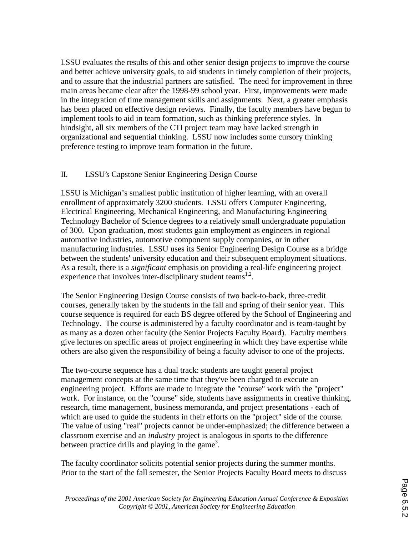LSSU evaluates the results of this and other senior design projects to improve the course and better achieve university goals, to aid students in timely completion of their projects, and to assure that the industrial partners are satisfied. The need for improvement in three main areas became clear after the 1998-99 school year. First, improvements were made in the integration of time management skills and assignments. Next, a greater emphasis has been placed on effective design reviews. Finally, the faculty members have begun to implement tools to aid in team formation, such as thinking preference styles. In hindsight, all six members of the CTI project team may have lacked strength in organizational and sequential thinking. LSSU now includes some cursory thinking preference testing to improve team formation in the future.

## II. LSSU's Capstone Senior Engineering Design Course

LSSU is Michigan's smallest public institution of higher learning, with an overall enrollment of approximately 3200 students. LSSU offers Computer Engineering, Electrical Engineering, Mechanical Engineering, and Manufacturing Engineering Technology Bachelor of Science degrees to a relatively small undergraduate population of 300. Upon graduation, most students gain employment as engineers in regional automotive industries, automotive component supply companies, or in other manufacturing industries. LSSU uses its Senior Engineering Design Course as a bridge between the students' university education and their subsequent employment situations. As a result, there is a *significant* emphasis on providing a real-life engineering project experience that involves inter-disciplinary student teams<sup>1,2</sup>.

The Senior Engineering Design Course consists of two back-to-back, three-credit courses, generally taken by the students in the fall and spring of their senior year. This course sequence is required for each BS degree offered by the School of Engineering and Technology. The course is administered by a faculty coordinator and is team-taught by as many as a dozen other faculty (the Senior Projects Faculty Board). Faculty members give lectures on specific areas of project engineering in which they have expertise while others are also given the responsibility of being a faculty advisor to one of the projects.

The two-course sequence has a dual track: students are taught general project management concepts at the same time that they've been charged to execute an engineering project. Efforts are made to integrate the "course" work with the "project" work. For instance, on the "course" side, students have assignments in creative thinking, research, time management, business memoranda, and project presentations - each of which are used to guide the students in their efforts on the "project" side of the course. The value of using "real" projects cannot be under-emphasized; the difference between a classroom exercise and an *industry* project is analogous in sports to the difference between practice drills and playing in the game<sup>3</sup>.

The faculty coordinator solicits potential senior projects during the summer months. Prior to the start of the fall semester, the Senior Projects Faculty Board meets to discuss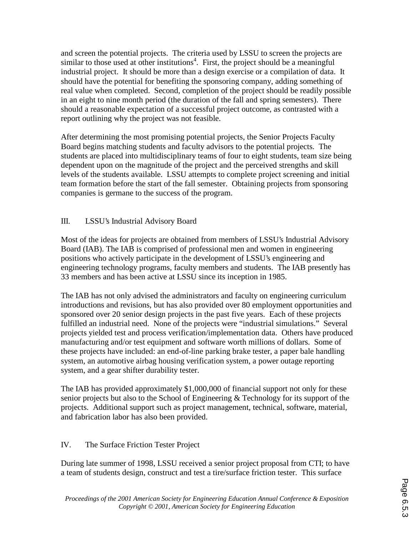and screen the potential projects. The criteria used by LSSU to screen the projects are similar to those used at other institutions<sup>4</sup>. First, the project should be a meaningful industrial project. It should be more than a design exercise or a compilation of data. It should have the potential for benefiting the sponsoring company, adding something of real value when completed. Second, completion of the project should be readily possible in an eight to nine month period (the duration of the fall and spring semesters). There should a reasonable expectation of a successful project outcome, as contrasted with a report outlining why the project was not feasible.

After determining the most promising potential projects, the Senior Projects Faculty Board begins matching students and faculty advisors to the potential projects. The students are placed into multidisciplinary teams of four to eight students, team size being dependent upon on the magnitude of the project and the perceived strengths and skill levels of the students available. LSSU attempts to complete project screening and initial team formation before the start of the fall semester. Obtaining projects from sponsoring companies is germane to the success of the program.

## III. LSSU's Industrial Advisory Board

Most of the ideas for projects are obtained from members of LSSU's Industrial Advisory Board (IAB). The IAB is comprised of professional men and women in engineering positions who actively participate in the development of LSSU's engineering and engineering technology programs, faculty members and students. The IAB presently has 33 members and has been active at LSSU since its inception in 1985.

The IAB has not only advised the administrators and faculty on engineering curriculum introductions and revisions, but has also provided over 80 employment opportunities and sponsored over 20 senior design projects in the past five years. Each of these projects fulfilled an industrial need. None of the projects were "industrial simulations." Several projects yielded test and process verification/implementation data. Others have produced manufacturing and/or test equipment and software worth millions of dollars. Some of these projects have included: an end-of-line parking brake tester, a paper bale handling system, an automotive airbag housing verification system, a power outage reporting system, and a gear shifter durability tester.

The IAB has provided approximately \$1,000,000 of financial support not only for these senior projects but also to the School of Engineering & Technology for its support of the projects. Additional support such as project management, technical, software, material, and fabrication labor has also been provided.

### IV. The Surface Friction Tester Project

During late summer of 1998, LSSU received a senior project proposal from CTI; to have a team of students design, construct and test a tire/surface friction tester. This surface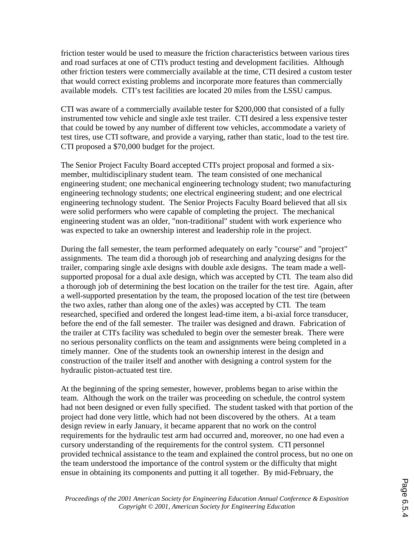friction tester would be used to measure the friction characteristics between various tires and road surfaces at one of CTI's product testing and development facilities. Although other friction testers were commercially available at the time, CTI desired a custom tester that would correct existing problems and incorporate more features than commercially available models. CTI's test facilities are located 20 miles from the LSSU campus.

CTI was aware of a commercially available tester for \$200,000 that consisted of a fully instrumented tow vehicle and single axle test trailer. CTI desired a less expensive tester that could be towed by any number of different tow vehicles, accommodate a variety of test tires, use CTI software, and provide a varying, rather than static, load to the test tire. CTI proposed a \$70,000 budget for the project.

The Senior Project Faculty Board accepted CTI's project proposal and formed a sixmember, multidisciplinary student team. The team consisted of one mechanical engineering student; one mechanical engineering technology student; two manufacturing engineering technology students; one electrical engineering student; and one electrical engineering technology student. The Senior Projects Faculty Board believed that all six were solid performers who were capable of completing the project. The mechanical engineering student was an older, "non-traditional" student with work experience who was expected to take an ownership interest and leadership role in the project.

During the fall semester, the team performed adequately on early "course" and "project" assignments. The team did a thorough job of researching and analyzing designs for the trailer, comparing single axle designs with double axle designs. The team made a wellsupported proposal for a dual axle design, which was accepted by CTI. The team also did a thorough job of determining the best location on the trailer for the test tire. Again, after a well-supported presentation by the team, the proposed location of the test tire (between the two axles, rather than along one of the axles) was accepted by CTI. The team researched, specified and ordered the longest lead-time item, a bi-axial force transducer, before the end of the fall semester. The trailer was designed and drawn. Fabrication of the trailer at CTI's facility was scheduled to begin over the semester break. There were no serious personality conflicts on the team and assignments were being completed in a timely manner. One of the students took an ownership interest in the design and construction of the trailer itself and another with designing a control system for the hydraulic piston-actuated test tire.

At the beginning of the spring semester, however, problems began to arise within the team. Although the work on the trailer was proceeding on schedule, the control system had not been designed or even fully specified. The student tasked with that portion of the project had done very little, which had not been discovered by the others. At a team design review in early January, it became apparent that no work on the control requirements for the hydraulic test arm had occurred and, moreover, no one had even a cursory understanding of the requirements for the control system. CTI personnel provided technical assistance to the team and explained the control process, but no one on the team understood the importance of the control system or the difficulty that might ensue in obtaining its components and putting it all together. By mid-February, the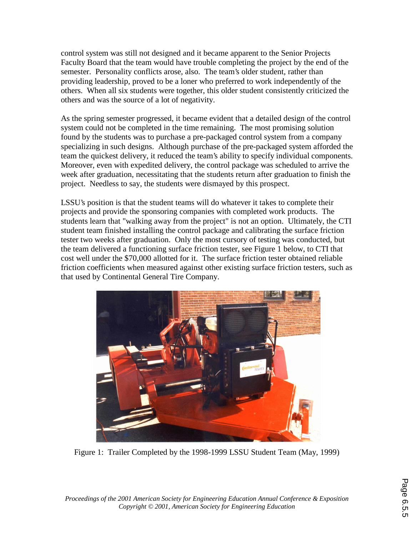control system was still not designed and it became apparent to the Senior Projects Faculty Board that the team would have trouble completing the project by the end of the semester. Personality conflicts arose, also. The team's older student, rather than providing leadership, proved to be a loner who preferred to work independently of the others. When all six students were together, this older student consistently criticized the others and was the source of a lot of negativity.

As the spring semester progressed, it became evident that a detailed design of the control system could not be completed in the time remaining. The most promising solution found by the students was to purchase a pre-packaged control system from a company specializing in such designs. Although purchase of the pre-packaged system afforded the team the quickest delivery, it reduced the team's ability to specify individual components. Moreover, even with expedited delivery, the control package was scheduled to arrive the week after graduation, necessitating that the students return after graduation to finish the project. Needless to say, the students were dismayed by this prospect.

LSSU's position is that the student teams will do whatever it takes to complete their projects and provide the sponsoring companies with completed work products. The students learn that "walking away from the project" is not an option. Ultimately, the CTI student team finished installing the control package and calibrating the surface friction tester two weeks after graduation. Only the most cursory of testing was conducted, but the team delivered a functioning surface friction tester, see Figure 1 below, to CTI that cost well under the \$70,000 allotted for it. The surface friction tester obtained reliable friction coefficients when measured against other existing surface friction testers, such as that used by Continental General Tire Company.



Figure 1: Trailer Completed by the 1998-1999 LSSU Student Team (May, 1999)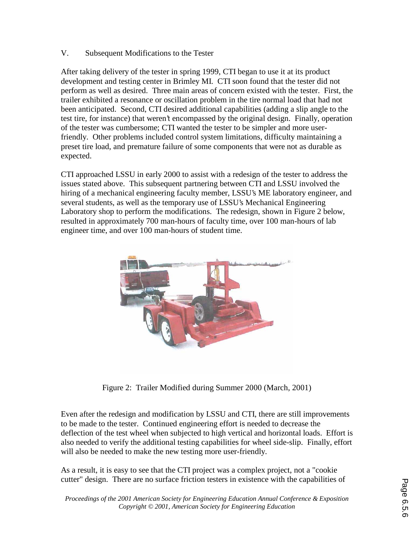### V. Subsequent Modifications to the Tester

After taking delivery of the tester in spring 1999, CTI began to use it at its product development and testing center in Brimley MI. CTI soon found that the tester did not perform as well as desired. Three main areas of concern existed with the tester. First, the trailer exhibited a resonance or oscillation problem in the tire normal load that had not been anticipated. Second, CTI desired additional capabilities (adding a slip angle to the test tire, for instance) that weren't encompassed by the original design. Finally, operation of the tester was cumbersome; CTI wanted the tester to be simpler and more userfriendly. Other problems included control system limitations, difficulty maintaining a preset tire load, and premature failure of some components that were not as durable as expected.

CTI approached LSSU in early 2000 to assist with a redesign of the tester to address the issues stated above. This subsequent partnering between CTI and LSSU involved the hiring of a mechanical engineering faculty member, LSSU's ME laboratory engineer, and several students, as well as the temporary use of LSSU's Mechanical Engineering Laboratory shop to perform the modifications. The redesign, shown in Figure 2 below, resulted in approximately 700 man-hours of faculty time, over 100 man-hours of lab engineer time, and over 100 man-hours of student time.



Figure 2: Trailer Modified during Summer 2000 (March, 2001)

Even after the redesign and modification by LSSU and CTI, there are still improvements to be made to the tester. Continued engineering effort is needed to decrease the deflection of the test wheel when subjected to high vertical and horizontal loads. Effort is also needed to verify the additional testing capabilities for wheel side-slip. Finally, effort will also be needed to make the new testing more user-friendly.

As a result, it is easy to see that the CTI project was a complex project, not a "cookie cutter" design. There are no surface friction testers in existence with the capabilities of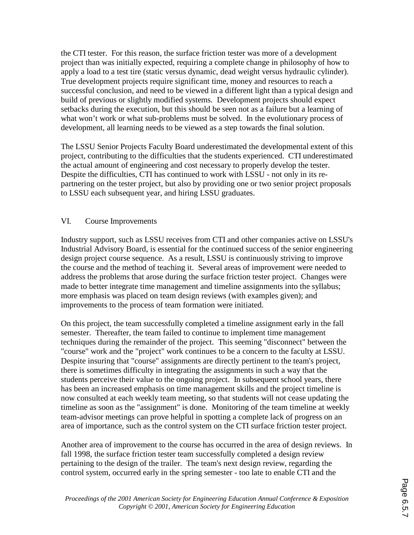the CTI tester. For this reason, the surface friction tester was more of a development project than was initially expected, requiring a complete change in philosophy of how to apply a load to a test tire (static versus dynamic, dead weight versus hydraulic cylinder). True development projects require significant time, money and resources to reach a successful conclusion, and need to be viewed in a different light than a typical design and build of previous or slightly modified systems. Development projects should expect setbacks during the execution, but this should be seen not as a failure but a learning of what won't work or what sub-problems must be solved. In the evolutionary process of development, all learning needs to be viewed as a step towards the final solution.

The LSSU Senior Projects Faculty Board underestimated the developmental extent of this project, contributing to the difficulties that the students experienced. CTI underestimated the actual amount of engineering and cost necessary to properly develop the tester. Despite the difficulties, CTI has continued to work with LSSU - not only in its repartnering on the tester project, but also by providing one or two senior project proposals to LSSU each subsequent year, and hiring LSSU graduates.

### VI. Course Improvements

Industry support, such as LSSU receives from CTI and other companies active on LSSU's Industrial Advisory Board, is essential for the continued success of the senior engineering design project course sequence. As a result, LSSU is continuously striving to improve the course and the method of teaching it. Several areas of improvement were needed to address the problems that arose during the surface friction tester project. Changes were made to better integrate time management and timeline assignments into the syllabus; more emphasis was placed on team design reviews (with examples given); and improvements to the process of team formation were initiated.

On this project, the team successfully completed a timeline assignment early in the fall semester. Thereafter, the team failed to continue to implement time management techniques during the remainder of the project. This seeming "disconnect" between the "course" work and the "project" work continues to be a concern to the faculty at LSSU. Despite insuring that "course" assignments are directly pertinent to the team's project, there is sometimes difficulty in integrating the assignments in such a way that the students perceive their value to the ongoing project. In subsequent school years, there has been an increased emphasis on time management skills and the project timeline is now consulted at each weekly team meeting, so that students will not cease updating the timeline as soon as the "assignment" is done. Monitoring of the team timeline at weekly team-advisor meetings can prove helpful in spotting a complete lack of progress on an area of importance, such as the control system on the CTI surface friction tester project.

Another area of improvement to the course has occurred in the area of design reviews. In fall 1998, the surface friction tester team successfully completed a design review pertaining to the design of the trailer. The team's next design review, regarding the control system, occurred early in the spring semester - too late to enable CTI and the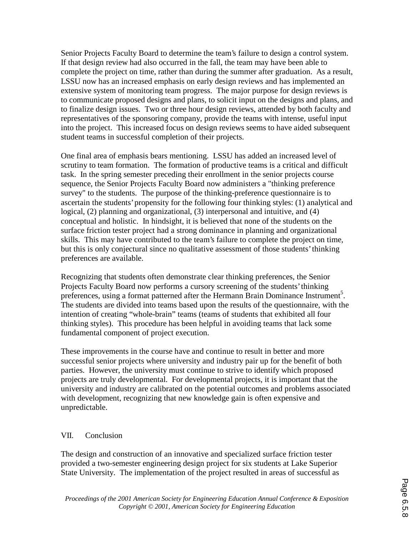Senior Projects Faculty Board to determine the team's failure to design a control system. If that design review had also occurred in the fall, the team may have been able to complete the project on time, rather than during the summer after graduation. As a result, LSSU now has an increased emphasis on early design reviews and has implemented an extensive system of monitoring team progress. The major purpose for design reviews is to communicate proposed designs and plans, to solicit input on the designs and plans, and to finalize design issues. Two or three hour design reviews, attended by both faculty and representatives of the sponsoring company, provide the teams with intense, useful input into the project. This increased focus on design reviews seems to have aided subsequent student teams in successful completion of their projects.

One final area of emphasis bears mentioning. LSSU has added an increased level of scrutiny to team formation. The formation of productive teams is a critical and difficult task. In the spring semester preceding their enrollment in the senior projects course sequence, the Senior Projects Faculty Board now administers a "thinking preference survey" to the students. The purpose of the thinking-preference questionnaire is to ascertain the students' propensity for the following four thinking styles: (1) analytical and logical, (2) planning and organizational, (3) interpersonal and intuitive, and (4) conceptual and holistic. In hindsight, it is believed that none of the students on the surface friction tester project had a strong dominance in planning and organizational skills. This may have contributed to the team's failure to complete the project on time, but this is only conjectural since no qualitative assessment of those students' thinking preferences are available.

Recognizing that students often demonstrate clear thinking preferences, the Senior Projects Faculty Board now performs a cursory screening of the students' thinking preferences, using a format patterned after the Hermann Brain Dominance Instrument<sup>5</sup>. The students are divided into teams based upon the results of the questionnaire, with the intention of creating "whole-brain" teams (teams of students that exhibited all four thinking styles). This procedure has been helpful in avoiding teams that lack some fundamental component of project execution.

These improvements in the course have and continue to result in better and more successful senior projects where university and industry pair up for the benefit of both parties. However, the university must continue to strive to identify which proposed projects are truly developmental. For developmental projects, it is important that the university and industry are calibrated on the potential outcomes and problems associated with development, recognizing that new knowledge gain is often expensive and unpredictable.

### VII. Conclusion

The design and construction of an innovative and specialized surface friction tester provided a two-semester engineering design project for six students at Lake Superior State University. The implementation of the project resulted in areas of successful as